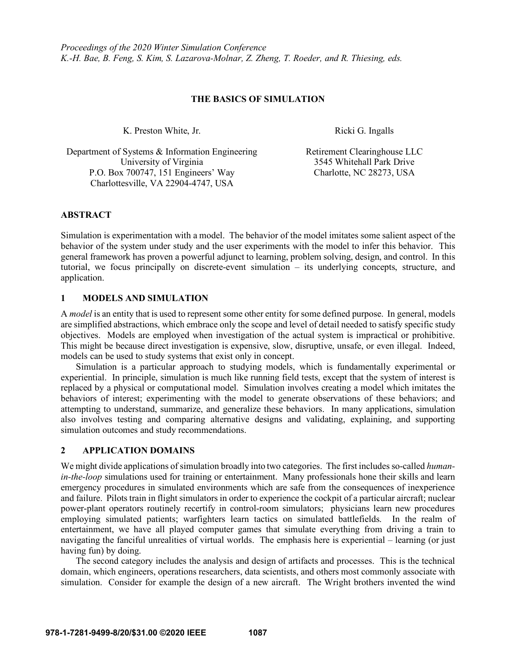## **THE BASICS OF SIMULATION**

K. Preston White, Jr. Ricki G. Ingalls

Department of Systems & Information Engineering Retirement Clearinghouse LLC University of Virginia 3545 Whitehall Park Drive P.O. Box 700747, 151 Engineers' Way Charlotte, NC 28273, USA Charlottesville, VA 22904-4747, USA

# **ABSTRACT**

Simulation is experimentation with a model. The behavior of the model imitates some salient aspect of the behavior of the system under study and the user experiments with the model to infer this behavior. This general framework has proven a powerful adjunct to learning, problem solving, design, and control. In this tutorial, we focus principally on discrete-event simulation – its underlying concepts, structure, and application.

## **1 MODELS AND SIMULATION**

A *model* is an entity that is used to represent some other entity for some defined purpose. In general, models are simplified abstractions, which embrace only the scope and level of detail needed to satisfy specific study objectives. Models are employed when investigation of the actual system is impractical or prohibitive. This might be because direct investigation is expensive, slow, disruptive, unsafe, or even illegal. Indeed, models can be used to study systems that exist only in concept.

Simulation is a particular approach to studying models, which is fundamentally experimental or experiential. In principle, simulation is much like running field tests, except that the system of interest is replaced by a physical or computational model. Simulation involves creating a model which imitates the behaviors of interest; experimenting with the model to generate observations of these behaviors; and attempting to understand, summarize, and generalize these behaviors. In many applications, simulation also involves testing and comparing alternative designs and validating, explaining, and supporting simulation outcomes and study recommendations.

## **2 APPLICATION DOMAINS**

We might divide applications of simulation broadly into two categories. The first includes so-called *humanin-the-loop* simulations used for training or entertainment. Many professionals hone their skills and learn emergency procedures in simulated environments which are safe from the consequences of inexperience and failure. Pilots train in flight simulators in order to experience the cockpit of a particular aircraft; nuclear power-plant operators routinely recertify in control-room simulators; physicians learn new procedures employing simulated patients; warfighters learn tactics on simulated battlefields. In the realm of entertainment, we have all played computer games that simulate everything from driving a train to navigating the fanciful unrealities of virtual worlds. The emphasis here is experiential – learning (or just having fun) by doing.

The second category includes the analysis and design of artifacts and processes. This is the technical domain, which engineers, operations researchers, data scientists, and others most commonly associate with simulation. Consider for example the design of a new aircraft. The Wright brothers invented the wind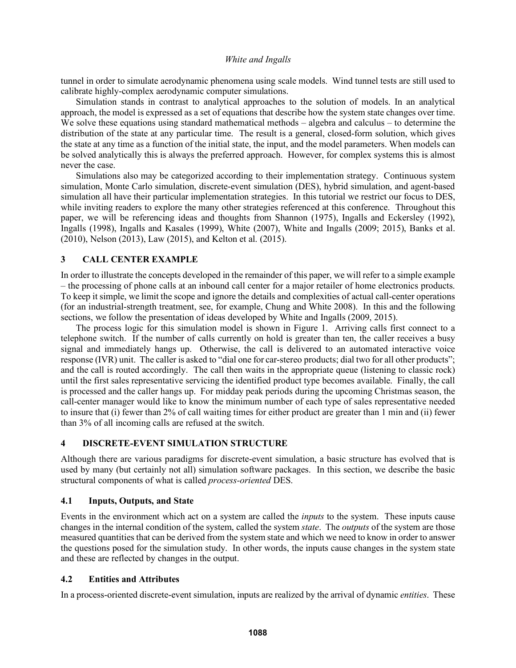tunnel in order to simulate aerodynamic phenomena using scale models. Wind tunnel tests are still used to calibrate highly-complex aerodynamic computer simulations.

Simulation stands in contrast to analytical approaches to the solution of models. In an analytical approach, the model is expressed as a set of equations that describe how the system state changes over time. We solve these equations using standard mathematical methods – algebra and calculus – to determine the distribution of the state at any particular time. The result is a general, closed-form solution, which gives the state at any time as a function of the initial state, the input, and the model parameters. When models can be solved analytically this is always the preferred approach. However, for complex systems this is almost never the case.

Simulations also may be categorized according to their implementation strategy. Continuous system simulation, Monte Carlo simulation, discrete-event simulation (DES), hybrid simulation, and agent-based simulation all have their particular implementation strategies. In this tutorial we restrict our focus to DES, while inviting readers to explore the many other strategies referenced at this conference. Throughout this paper, we will be referencing ideas and thoughts from Shannon (1975), Ingalls and Eckersley (1992), Ingalls (1998), Ingalls and Kasales (1999), White (2007), White and Ingalls (2009; 2015), Banks et al. (2010), Nelson (2013), Law (2015), and Kelton et al. (2015).

# **3 CALL CENTER EXAMPLE**

In order to illustrate the concepts developed in the remainder of this paper, we will refer to a simple example – the processing of phone calls at an inbound call center for a major retailer of home electronics products. To keep it simple, we limit the scope and ignore the details and complexities of actual call-center operations (for an industrial-strength treatment, see, for example, Chung and White 2008). In this and the following sections, we follow the presentation of ideas developed by White and Ingalls (2009, 2015).

The process logic for this simulation model is shown in Figure 1. Arriving calls first connect to a telephone switch. If the number of calls currently on hold is greater than ten, the caller receives a busy signal and immediately hangs up. Otherwise, the call is delivered to an automated interactive voice response (IVR) unit. The caller is asked to "dial one for car-stereo products; dial two for all other products"; and the call is routed accordingly. The call then waits in the appropriate queue (listening to classic rock) until the first sales representative servicing the identified product type becomes available. Finally, the call is processed and the caller hangs up. For midday peak periods during the upcoming Christmas season, the call-center manager would like to know the minimum number of each type of sales representative needed to insure that (i) fewer than 2% of call waiting times for either product are greater than 1 min and (ii) fewer than 3% of all incoming calls are refused at the switch.

## **4 DISCRETE-EVENT SIMULATION STRUCTURE**

Although there are various paradigms for discrete-event simulation, a basic structure has evolved that is used by many (but certainly not all) simulation software packages. In this section, we describe the basic structural components of what is called *process-oriented* DES.

## **4.1 Inputs, Outputs, and State**

Events in the environment which act on a system are called the *inputs* to the system. These inputs cause changes in the internal condition of the system, called the system *state*. The *outputs* of the system are those measured quantities that can be derived from the system state and which we need to know in order to answer the questions posed for the simulation study. In other words, the inputs cause changes in the system state and these are reflected by changes in the output.

## **4.2 Entities and Attributes**

In a process-oriented discrete-event simulation, inputs are realized by the arrival of dynamic *entities*. These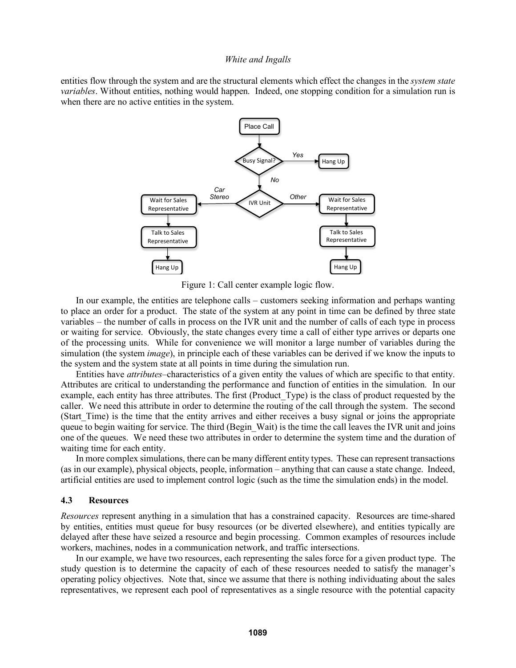entities flow through the system and are the structural elements which effect the changes in the *system state variables*. Without entities, nothing would happen. Indeed, one stopping condition for a simulation run is when there are no active entities in the system.



Figure 1: Call center example logic flow.

In our example, the entities are telephone calls – customers seeking information and perhaps wanting to place an order for a product. The state of the system at any point in time can be defined by three state variables – the number of calls in process on the IVR unit and the number of calls of each type in process or waiting for service. Obviously, the state changes every time a call of either type arrives or departs one of the processing units. While for convenience we will monitor a large number of variables during the simulation (the system *image*), in principle each of these variables can be derived if we know the inputs to the system and the system state at all points in time during the simulation run.

Entities have *attributes*–characteristics of a given entity the values of which are specific to that entity. Attributes are critical to understanding the performance and function of entities in the simulation. In our example, each entity has three attributes. The first (Product\_Type) is the class of product requested by the caller. We need this attribute in order to determine the routing of the call through the system. The second (Start Time) is the time that the entity arrives and either receives a busy signal or joins the appropriate queue to begin waiting for service. The third (Begin Wait) is the time the call leaves the IVR unit and joins one of the queues. We need these two attributes in order to determine the system time and the duration of waiting time for each entity.

In more complex simulations, there can be many different entity types. These can represent transactions (as in our example), physical objects, people, information – anything that can cause a state change. Indeed, artificial entities are used to implement control logic (such as the time the simulation ends) in the model.

## **4.3 Resources**

*Resources* represent anything in a simulation that has a constrained capacity. Resources are time-shared by entities, entities must queue for busy resources (or be diverted elsewhere), and entities typically are delayed after these have seized a resource and begin processing. Common examples of resources include workers, machines, nodes in a communication network, and traffic intersections.

In our example, we have two resources, each representing the sales force for a given product type. The study question is to determine the capacity of each of these resources needed to satisfy the manager's operating policy objectives. Note that, since we assume that there is nothing individuating about the sales representatives, we represent each pool of representatives as a single resource with the potential capacity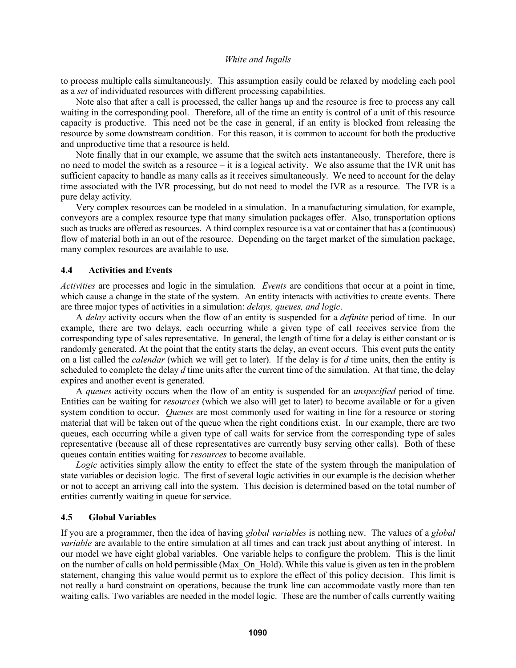to process multiple calls simultaneously. This assumption easily could be relaxed by modeling each pool as a *set* of individuated resources with different processing capabilities.

Note also that after a call is processed, the caller hangs up and the resource is free to process any call waiting in the corresponding pool. Therefore, all of the time an entity is control of a unit of this resource capacity is productive. This need not be the case in general, if an entity is blocked from releasing the resource by some downstream condition. For this reason, it is common to account for both the productive and unproductive time that a resource is held.

Note finally that in our example, we assume that the switch acts instantaneously. Therefore, there is no need to model the switch as a resource – it is a logical activity. We also assume that the IVR unit has sufficient capacity to handle as many calls as it receives simultaneously. We need to account for the delay time associated with the IVR processing, but do not need to model the IVR as a resource. The IVR is a pure delay activity.

Very complex resources can be modeled in a simulation. In a manufacturing simulation, for example, conveyors are a complex resource type that many simulation packages offer. Also, transportation options such as trucks are offered as resources. A third complex resource is a vat or container that has a (continuous) flow of material both in an out of the resource. Depending on the target market of the simulation package, many complex resources are available to use.

### **4.4 Activities and Events**

*Activities* are processes and logic in the simulation. *Events* are conditions that occur at a point in time, which cause a change in the state of the system. An entity interacts with activities to create events. There are three major types of activities in a simulation: *delays, queues, and logic*.

A *delay* activity occurs when the flow of an entity is suspended for a *definite* period of time. In our example, there are two delays, each occurring while a given type of call receives service from the corresponding type of sales representative. In general, the length of time for a delay is either constant or is randomly generated. At the point that the entity starts the delay, an event occurs. This event puts the entity on a list called the *calendar* (which we will get to later). If the delay is for *d* time units, then the entity is scheduled to complete the delay *d* time units after the current time of the simulation. At that time, the delay expires and another event is generated.

A *queues* activity occurs when the flow of an entity is suspended for an *unspecified* period of time. Entities can be waiting for *resources* (which we also will get to later) to become available or for a given system condition to occur. *Queues* are most commonly used for waiting in line for a resource or storing material that will be taken out of the queue when the right conditions exist. In our example, there are two queues, each occurring while a given type of call waits for service from the corresponding type of sales representative (because all of these representatives are currently busy serving other calls). Both of these queues contain entities waiting for *resources* to become available.

*Logic* activities simply allow the entity to effect the state of the system through the manipulation of state variables or decision logic. The first of several logic activities in our example is the decision whether or not to accept an arriving call into the system. This decision is determined based on the total number of entities currently waiting in queue for service.

### **4.5 Global Variables**

If you are a programmer, then the idea of having *global variables* is nothing new. The values of a *global variable* are available to the entire simulation at all times and can track just about anything of interest. In our model we have eight global variables. One variable helps to configure the problem. This is the limit on the number of calls on hold permissible (Max\_On\_Hold). While this value is given as ten in the problem statement, changing this value would permit us to explore the effect of this policy decision. This limit is not really a hard constraint on operations, because the trunk line can accommodate vastly more than ten waiting calls. Two variables are needed in the model logic. These are the number of calls currently waiting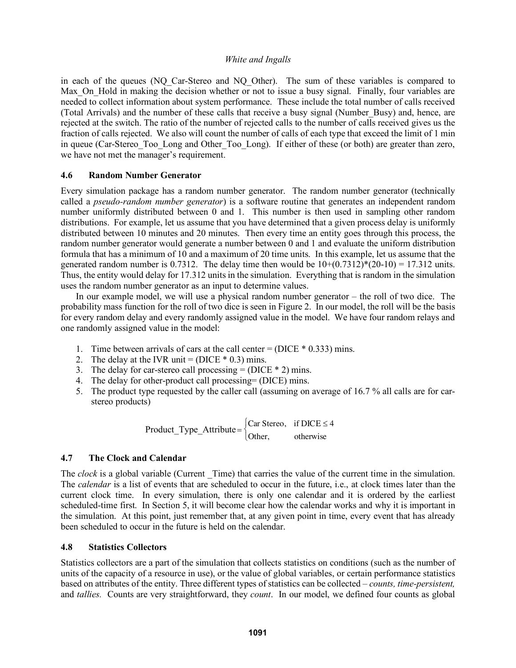in each of the queues (NQ\_Car-Stereo and NQ\_Other). The sum of these variables is compared to Max. On Hold in making the decision whether or not to issue a busy signal. Finally, four variables are needed to collect information about system performance. These include the total number of calls received (Total Arrivals) and the number of these calls that receive a busy signal (Number\_Busy) and, hence, are rejected at the switch. The ratio of the number of rejected calls to the number of calls received gives us the fraction of calls rejected. We also will count the number of calls of each type that exceed the limit of 1 min in queue (Car-Stereo Too Long and Other Too Long). If either of these (or both) are greater than zero, we have not met the manager's requirement.

## **4.6 Random Number Generator**

Every simulation package has a random number generator. The random number generator (technically called a *pseudo-random number generator*) is a software routine that generates an independent random number uniformly distributed between 0 and 1. This number is then used in sampling other random distributions. For example, let us assume that you have determined that a given process delay is uniformly distributed between 10 minutes and 20 minutes. Then every time an entity goes through this process, the random number generator would generate a number between 0 and 1 and evaluate the uniform distribution formula that has a minimum of 10 and a maximum of 20 time units. In this example, let us assume that the generated random number is 0.7312. The delay time then would be  $10+(0.7312)*(20-10) = 17.312$  units. Thus, the entity would delay for 17.312 units in the simulation. Everything that is random in the simulation uses the random number generator as an input to determine values.

In our example model, we will use a physical random number generator – the roll of two dice. The probability mass function for the roll of two dice is seen in Figure 2. In our model, the roll will be the basis for every random delay and every randomly assigned value in the model. We have four random relays and one randomly assigned value in the model:

- 1. Time between arrivals of cars at the call center  $=$  (DICE  $*$  0.333) mins.
- 2. The delay at the IVR unit  $=$  (DICE  $*$  0.3) mins.
- 3. The delay for car-stereo call processing  $=$  (DICE  $*$  2) mins.
- 4. The delay for other-product call processing= (DICE) mins.
- 5. The product type requested by the caller call (assuming on average of 16.7 % all calls are for carstereo products)

Product Type Attribute =  $\begin{cases} \text{Car Stereo, if DICE } \leq 4 \\ \text{QQ} \end{cases}$ Other, otherwise  $\sqrt{2}$ í î

## **4.7 The Clock and Calendar**

The *clock* is a global variable (Current Time) that carries the value of the current time in the simulation. The *calendar* is a list of events that are scheduled to occur in the future, i.e., at clock times later than the current clock time. In every simulation, there is only one calendar and it is ordered by the earliest scheduled-time first. In Section 5, it will become clear how the calendar works and why it is important in the simulation. At this point, just remember that, at any given point in time, every event that has already been scheduled to occur in the future is held on the calendar.

## **4.8 Statistics Collectors**

Statistics collectors are a part of the simulation that collects statistics on conditions (such as the number of units of the capacity of a resource in use), or the value of global variables, or certain performance statistics based on attributes of the entity. Three different types of statistics can be collected – *counts, time-persistent,*  and *tallies.* Counts are very straightforward, they *count*. In our model, we defined four counts as global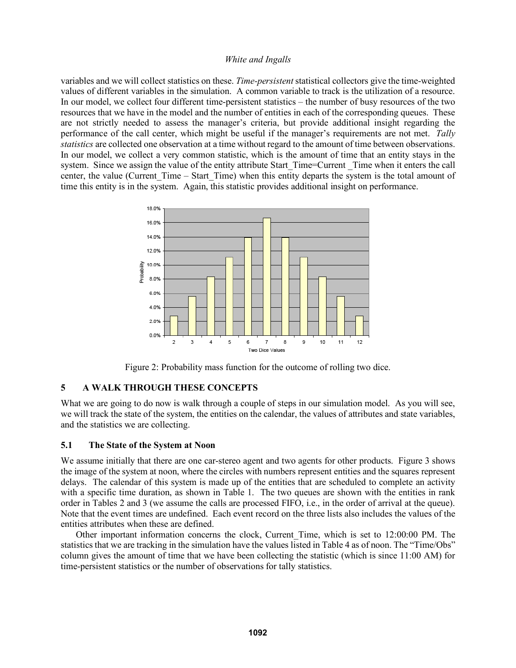variables and we will collect statistics on these. *Time-persistent* statistical collectors give the time-weighted values of different variables in the simulation. A common variable to track is the utilization of a resource. In our model, we collect four different time-persistent statistics – the number of busy resources of the two resources that we have in the model and the number of entities in each of the corresponding queues. These are not strictly needed to assess the manager's criteria, but provide additional insight regarding the performance of the call center, which might be useful if the manager's requirements are not met. *Tally statistics* are collected one observation at a time without regard to the amount of time between observations. In our model, we collect a very common statistic, which is the amount of time that an entity stays in the system. Since we assign the value of the entity attribute Start Time=Current Time when it enters the call center, the value (Current Time – Start Time) when this entity departs the system is the total amount of time this entity is in the system. Again, this statistic provides additional insight on performance.



Figure 2: Probability mass function for the outcome of rolling two dice.

## **5 A WALK THROUGH THESE CONCEPTS**

What we are going to do now is walk through a couple of steps in our simulation model. As you will see, we will track the state of the system, the entities on the calendar, the values of attributes and state variables, and the statistics we are collecting.

### **5.1 The State of the System at Noon**

We assume initially that there are one car-stereo agent and two agents for other products. Figure 3 shows the image of the system at noon, where the circles with numbers represent entities and the squares represent delays. The calendar of this system is made up of the entities that are scheduled to complete an activity with a specific time duration, as shown in Table 1. The two queues are shown with the entities in rank order in Tables 2 and 3 (we assume the calls are processed FIFO, i.e., in the order of arrival at the queue). Note that the event times are undefined. Each event record on the three lists also includes the values of the entities attributes when these are defined.

Other important information concerns the clock, Current\_Time, which is set to 12:00:00 PM. The statistics that we are tracking in the simulation have the values listed in Table 4 as of noon. The "Time/Obs" column gives the amount of time that we have been collecting the statistic (which is since 11:00 AM) for time-persistent statistics or the number of observations for tally statistics.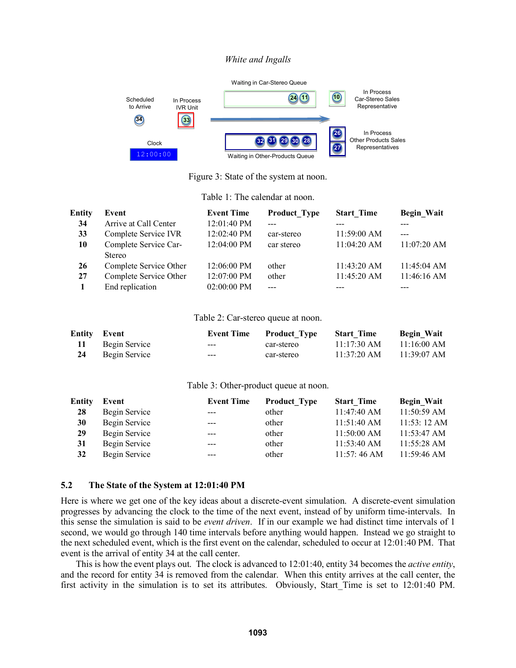

Figure 3: State of the system at noon.

Table 1: The calendar at noon.

| Entity | Event                  | <b>Event Time</b> | <b>Product Type</b> | <b>Start Time</b> | <b>Begin Wait</b> |
|--------|------------------------|-------------------|---------------------|-------------------|-------------------|
| 34     | Arrive at Call Center  | 12:01:40 PM       |                     |                   |                   |
| 33     | Complete Service IVR   | 12:02:40 PM       | car-stereo          | 11:59:00 AM       |                   |
| 10     | Complete Service Car-  | 12:04:00 PM       | car stereo          | 11:04:20 AM       | $11:07:20$ AM     |
|        | <b>Stereo</b>          |                   |                     |                   |                   |
| 26     | Complete Service Other | 12:06:00 PM       | other               | 11:43:20 AM       | 11:45:04 AM       |
| 27     | Complete Service Other | 12:07:00 PM       | other               | 11:45:20 AM       | 11:46:16 AM       |
| 1      | End replication        | 02:00:00 PM       |                     |                   |                   |
|        |                        |                   |                     |                   |                   |

#### Table 2: Car-stereo queue at noon.

|        | Entity Event  | <b>Event Time</b> | <b>Product Type</b> | <b>Start Time</b> | Begin Wait    |
|--------|---------------|-------------------|---------------------|-------------------|---------------|
| - 11 - | Begin Service | $---$             | car-stereo          | $11:17:30$ AM     | 11:16:00 AM   |
| 24     | Begin Service | ---               | car-stereo          | $11:37:20$ AM     | $11:39:07$ AM |

#### Table 3: Other-product queue at noon.

| Event         | <b>Event Time</b> | <b>Product Type</b> | <b>Start Time</b> | Begin Wait    |
|---------------|-------------------|---------------------|-------------------|---------------|
| Begin Service | ---               | other               | 11:47:40 AM       | $11:50:59$ AM |
| Begin Service | ---               | other               | $11:51:40$ AM     | 11:53:12 AM   |
| Begin Service | ---               | other               | 11:50:00 AM       | $11:53:47$ AM |
| Begin Service | ---               | other               | $11:53:40$ AM     | $11:55:28$ AM |
| Begin Service | ---               | other               | $11:57:46$ AM     | $11:59:46$ AM |
|               |                   |                     |                   |               |

### **5.2 The State of the System at 12:01:40 PM**

Here is where we get one of the key ideas about a discrete-event simulation. A discrete-event simulation progresses by advancing the clock to the time of the next event, instead of by uniform time-intervals. In this sense the simulation is said to be *event driven*. If in our example we had distinct time intervals of 1 second, we would go through 140 time intervals before anything would happen. Instead we go straight to the next scheduled event, which is the first event on the calendar, scheduled to occur at 12:01:40 PM. That event is the arrival of entity 34 at the call center.

This is how the event plays out. The clock is advanced to 12:01:40, entity 34 becomes the *active entity*, and the record for entity 34 is removed from the calendar. When this entity arrives at the call center, the first activity in the simulation is to set its attributes. Obviously, Start\_Time is set to 12:01:40 PM.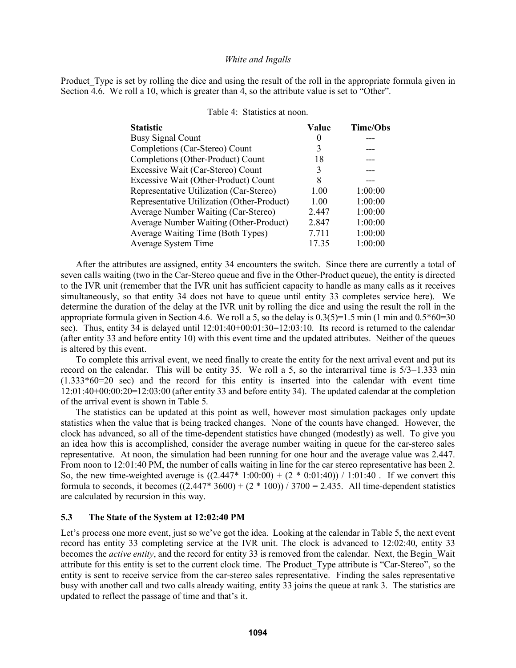Product Type is set by rolling the dice and using the result of the roll in the appropriate formula given in Section 4.6. We roll a 10, which is greater than 4, so the attribute value is set to "Other".

| <b>Statistic</b>                           | Value | Time/Obs |
|--------------------------------------------|-------|----------|
| <b>Busy Signal Count</b>                   | 0     |          |
| Completions (Car-Stereo) Count             | 3     |          |
| Completions (Other-Product) Count          | 18    |          |
| Excessive Wait (Car-Stereo) Count          | 3     |          |
| Excessive Wait (Other-Product) Count       | 8     |          |
| Representative Utilization (Car-Stereo)    | 1.00  | 1:00:00  |
| Representative Utilization (Other-Product) | 1.00  | 1:00:00  |
| Average Number Waiting (Car-Stereo)        | 2.447 | 1:00:00  |
| Average Number Waiting (Other-Product)     | 2.847 | 1:00:00  |
| Average Waiting Time (Both Types)          | 7.711 | 1:00:00  |
| Average System Time                        | 17.35 | 1:00:00  |

Table 4: Statistics at noon.

After the attributes are assigned, entity 34 encounters the switch. Since there are currently a total of seven calls waiting (two in the Car-Stereo queue and five in the Other-Product queue), the entity is directed to the IVR unit (remember that the IVR unit has sufficient capacity to handle as many calls as it receives simultaneously, so that entity 34 does not have to queue until entity 33 completes service here). We determine the duration of the delay at the IVR unit by rolling the dice and using the result the roll in the appropriate formula given in Section 4.6. We roll a 5, so the delay is  $0.3(5)=1.5$  min (1 min and  $0.5*60=30$ ) sec). Thus, entity 34 is delayed until 12:01:40+00:01:30=12:03:10. Its record is returned to the calendar (after entity 33 and before entity 10) with this event time and the updated attributes. Neither of the queues is altered by this event.

To complete this arrival event, we need finally to create the entity for the next arrival event and put its record on the calendar. This will be entity 35. We roll a 5, so the interarrival time is 5/3=1.333 min (1.333\*60=20 sec) and the record for this entity is inserted into the calendar with event time 12:01:40+00:00:20=12:03:00 (after entity 33 and before entity 34). The updated calendar at the completion of the arrival event is shown in Table 5.

The statistics can be updated at this point as well, however most simulation packages only update statistics when the value that is being tracked changes. None of the counts have changed. However, the clock has advanced, so all of the time-dependent statistics have changed (modestly) as well. To give you an idea how this is accomplished, consider the average number waiting in queue for the car-stereo sales representative. At noon, the simulation had been running for one hour and the average value was 2.447. From noon to 12:01:40 PM, the number of calls waiting in line for the car stereo representative has been 2. So, the new time-weighted average is  $((2.447 * 1:00:00) + (2 * 0:01:40)) / 1:01:40$ . If we convert this formula to seconds, it becomes  $((2.447 * 3600) + (2 * 100))$  / 3700 = 2.435. All time-dependent statistics are calculated by recursion in this way.

### **5.3 The State of the System at 12:02:40 PM**

Let's process one more event, just so we've got the idea. Looking at the calendar in Table 5, the next event record has entity 33 completing service at the IVR unit. The clock is advanced to 12:02:40, entity 33 becomes the *active entity*, and the record for entity 33 is removed from the calendar. Next, the Begin\_Wait attribute for this entity is set to the current clock time. The Product\_Type attribute is "Car-Stereo", so the entity is sent to receive service from the car-stereo sales representative. Finding the sales representative busy with another call and two calls already waiting, entity 33 joins the queue at rank 3. The statistics are updated to reflect the passage of time and that's it.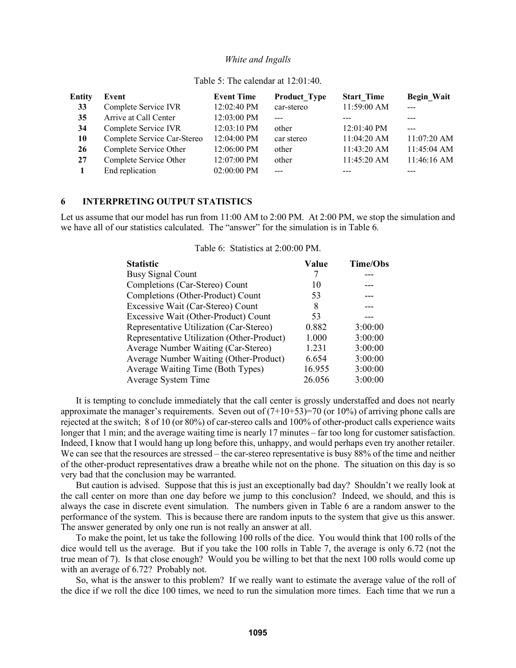| Entity | Event                       | <b>Event Time</b>     | <b>Product Type</b> | <b>Start Time</b> | Begin Wait    |
|--------|-----------------------------|-----------------------|---------------------|-------------------|---------------|
| 33     | Complete Service IVR        | $12:02:40 \text{ PM}$ | car-stereo          | 11:59:00 AM       |               |
| 35     | Arrive at Call Center       | 12:03:00 PM           |                     |                   |               |
| 34     | Complete Service IVR        | $12:03:10 \text{ PM}$ | other               | 12:01:40 PM       |               |
| 10     | Complete Service Car-Stereo | 12:04:00 PM           | car stereo          | 11:04:20 AM       | $11:07:20$ AM |
| 26     | Complete Service Other      | 12:06:00 PM           | other               | 11:43:20 AM       | 11:45:04 AM   |
| 27     | Complete Service Other      | 12:07:00 PM           | other               | 11:45:20 AM       | 11:46:16 AM   |
|        | End replication             | 02:00:00 PM           |                     |                   |               |

#### Table 5: The calendar at 12:01:40.

# **6 INTERPRETING OUTPUT STATISTICS**

Let us assume that our model has run from 11:00 AM to 2:00 PM. At 2:00 PM, we stop the simulation and we have all of our statistics calculated. The "answer" for the simulation is in Table 6.

| Table 6: Statistics at 2:00:00 PM. |  |  |
|------------------------------------|--|--|
|                                    |  |  |

| <b>Statistic</b>                           | Value  | Time/Obs |
|--------------------------------------------|--------|----------|
| <b>Busy Signal Count</b>                   |        |          |
| Completions (Car-Stereo) Count             | 10     |          |
| Completions (Other-Product) Count          | 53     |          |
| Excessive Wait (Car-Stereo) Count          | 8      |          |
| Excessive Wait (Other-Product) Count       | 53     |          |
| Representative Utilization (Car-Stereo)    | 0.882  | 3:00:00  |
| Representative Utilization (Other-Product) | 1.000  | 3:00:00  |
| Average Number Waiting (Car-Stereo)        | 1.231  | 3:00:00  |
| Average Number Waiting (Other-Product)     | 6.654  | 3:00:00  |
| Average Waiting Time (Both Types)          | 16.955 | 3:00:00  |
| Average System Time                        | 26.056 | 3:00:00  |

It is tempting to conclude immediately that the call center is grossly understaffed and does not nearly approximate the manager's requirements. Seven out of  $(7+10+53)=70$  (or 10%) of arriving phone calls are rejected at the switch; 8 of 10 (or 80%) of car-stereo calls and 100% of other-product calls experience waits longer that 1 min; and the average waiting time is nearly 17 minutes – far too long for customer satisfaction. Indeed, I know that I would hang up long before this, unhappy, and would perhaps even try another retailer. We can see that the resources are stressed – the car-stereo representative is busy 88% of the time and neither of the other-product representatives draw a breathe while not on the phone. The situation on this day is so very bad that the conclusion may be warranted.

But caution is advised. Suppose that this is just an exceptionally bad day? Shouldn't we really look at the call center on more than one day before we jump to this conclusion? Indeed, we should, and this is always the case in discrete event simulation. The numbers given in Table 6 are a random answer to the performance of the system. This is because there are random inputs to the system that give us this answer. The answer generated by only one run is not really an answer at all.

To make the point, let us take the following 100 rolls of the dice. You would think that 100 rolls of the dice would tell us the average. But if you take the 100 rolls in Table 7, the average is only 6.72 (not the true mean of 7). Is that close enough? Would you be willing to bet that the next 100 rolls would come up with an average of 6.72? Probably not.

So, what is the answer to this problem? If we really want to estimate the average value of the roll of the dice if we roll the dice 100 times, we need to run the simulation more times. Each time that we run a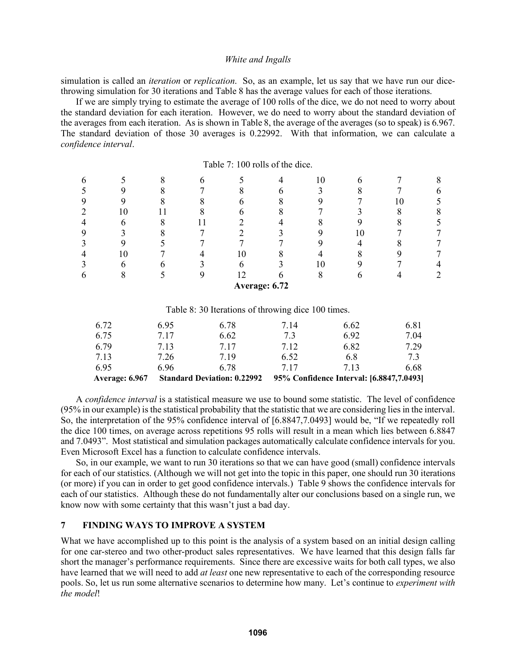simulation is called an *iteration* or *replication*. So, as an example, let us say that we have run our dicethrowing simulation for 30 iterations and Table 8 has the average values for each of those iterations.

If we are simply trying to estimate the average of 100 rolls of the dice, we do not need to worry about the standard deviation for each iteration. However, we do need to worry about the standard deviation of the averages from each iteration. As is shown in Table 8, the average of the averages (so to speak) is 6.967. The standard deviation of those 30 averages is 0.22992. With that information, we can calculate a *confidence interval*.

Table  $7:100$  rolls of the dice.

|    |   | h |   | 1 U           | 0  |    |  |
|----|---|---|---|---------------|----|----|--|
|    |   |   |   |               |    |    |  |
| Q  |   |   | 6 |               |    | 10 |  |
| 10 |   |   | 6 |               |    |    |  |
| 6  | 8 |   |   |               | Q  |    |  |
|    |   |   |   |               | 10 |    |  |
|    |   |   |   |               |    |    |  |
|    |   |   |   |               | 8  |    |  |
| 6  | h |   |   |               | a  |    |  |
| Ω  |   |   |   |               |    |    |  |
|    |   |   |   |               |    |    |  |
|    |   |   |   | Average: 6.72 |    |    |  |

# Table 8: 30 Iterations of throwing dice 100 times.

| <b>Average: 6.967</b> |      | <b>Standard Deviation: 0.22992</b> |      | 95% Confidence Interval: [6.8847,7.0493] |      |
|-----------------------|------|------------------------------------|------|------------------------------------------|------|
| 6.95                  | 6 96 | 6.78                               | 717  | 713                                      | 6.68 |
| 7.13                  | 7.26 | 7 19                               | 6.52 | 6.8                                      | 73   |
| 6.79                  | 7.13 | 7.17                               | 7.12 | 6.82                                     | 7.29 |
| 6.75                  | 717  | 6.62                               | 73   | 6.92                                     | 7.04 |
| 6.72                  | 6.95 | 6.78                               | 7.14 | 6.62                                     | 6.81 |
|                       |      |                                    |      |                                          |      |

A *confidence interval* is a statistical measure we use to bound some statistic. The level of confidence (95% in our example) is the statistical probability that the statistic that we are considering lies in the interval. So, the interpretation of the 95% confidence interval of [6.8847,7.0493] would be, "If we repeatedly roll the dice 100 times, on average across repetitions 95 rolls will result in a mean which lies between 6.8847 and 7.0493". Most statistical and simulation packages automatically calculate confidence intervals for you. Even Microsoft Excel has a function to calculate confidence intervals.

So, in our example, we want to run 30 iterations so that we can have good (small) confidence intervals for each of our statistics. (Although we will not get into the topic in this paper, one should run 30 iterations (or more) if you can in order to get good confidence intervals.) Table 9 shows the confidence intervals for each of our statistics. Although these do not fundamentally alter our conclusions based on a single run, we know now with some certainty that this wasn't just a bad day.

### **7 FINDING WAYS TO IMPROVE A SYSTEM**

What we have accomplished up to this point is the analysis of a system based on an initial design calling for one car-stereo and two other-product sales representatives. We have learned that this design falls far short the manager's performance requirements. Since there are excessive waits for both call types, we also have learned that we will need to add *at least* one new representative to each of the corresponding resource pools. So, let us run some alternative scenarios to determine how many. Let's continue to *experiment with the model*!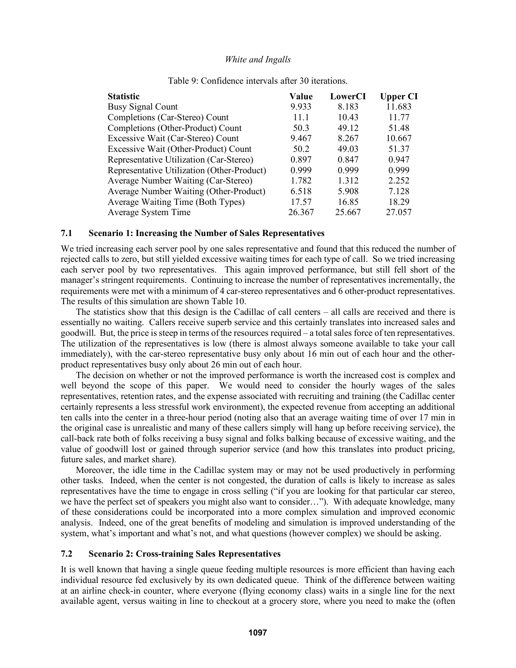| <b>Statistic</b>                           | Value  | LowerCI | <b>Upper CI</b> |
|--------------------------------------------|--------|---------|-----------------|
| <b>Busy Signal Count</b>                   | 9.933  | 8.183   | 11.683          |
| Completions (Car-Stereo) Count             | 11.1   | 10.43   | 11.77           |
| Completions (Other-Product) Count          | 50.3   | 49.12   | 51.48           |
| Excessive Wait (Car-Stereo) Count          | 9.467  | 8.267   | 10.667          |
| Excessive Wait (Other-Product) Count       | 50.2   | 49.03   | 51.37           |
| Representative Utilization (Car-Stereo)    | 0.897  | 0.847   | 0.947           |
| Representative Utilization (Other-Product) | 0.999  | 0.999   | 0.999           |
| Average Number Waiting (Car-Stereo)        | 1.782  | 1.312   | 2.252           |
| Average Number Waiting (Other-Product)     | 6.518  | 5.908   | 7.128           |
| Average Waiting Time (Both Types)          | 17.57  | 16.85   | 18.29           |
| Average System Time                        | 26.367 | 25.667  | 27.057          |

## Table 9: Confidence intervals after 30 iterations.

### **7.1 Scenario 1: Increasing the Number of Sales Representatives**

We tried increasing each server pool by one sales representative and found that this reduced the number of rejected calls to zero, but still yielded excessive waiting times for each type of call. So we tried increasing each server pool by two representatives. This again improved performance, but still fell short of the manager's stringent requirements. Continuing to increase the number of representatives incrementally, the requirements were met with a minimum of 4 car-stereo representatives and 6 other-product representatives. The results of this simulation are shown Table 10.

The statistics show that this design is the Cadillac of call centers – all calls are received and there is essentially no waiting. Callers receive superb service and this certainly translates into increased sales and goodwill. But, the price is steep in terms of the resources required – a total sales force of ten representatives. The utilization of the representatives is low (there is almost always someone available to take your call immediately), with the car-stereo representative busy only about 16 min out of each hour and the otherproduct representatives busy only about 26 min out of each hour.

The decision on whether or not the improved performance is worth the increased cost is complex and well beyond the scope of this paper. We would need to consider the hourly wages of the sales representatives, retention rates, and the expense associated with recruiting and training (the Cadillac center certainly represents a less stressful work environment), the expected revenue from accepting an additional ten calls into the center in a three-hour period (noting also that an average waiting time of over 17 min in the original case is unrealistic and many of these callers simply will hang up before receiving service), the call-back rate both of folks receiving a busy signal and folks balking because of excessive waiting, and the value of goodwill lost or gained through superior service (and how this translates into product pricing, future sales, and market share).

Moreover, the idle time in the Cadillac system may or may not be used productively in performing other tasks. Indeed, when the center is not congested, the duration of calls is likely to increase as sales representatives have the time to engage in cross selling ("if you are looking for that particular car stereo, we have the perfect set of speakers you might also want to consider…"). With adequate knowledge, many of these considerations could be incorporated into a more complex simulation and improved economic analysis. Indeed, one of the great benefits of modeling and simulation is improved understanding of the system, what's important and what's not, and what questions (however complex) we should be asking.

### **7.2 Scenario 2: Cross-training Sales Representatives**

It is well known that having a single queue feeding multiple resources is more efficient than having each individual resource fed exclusively by its own dedicated queue. Think of the difference between waiting at an airline check-in counter, where everyone (flying economy class) waits in a single line for the next available agent, versus waiting in line to checkout at a grocery store, where you need to make the (often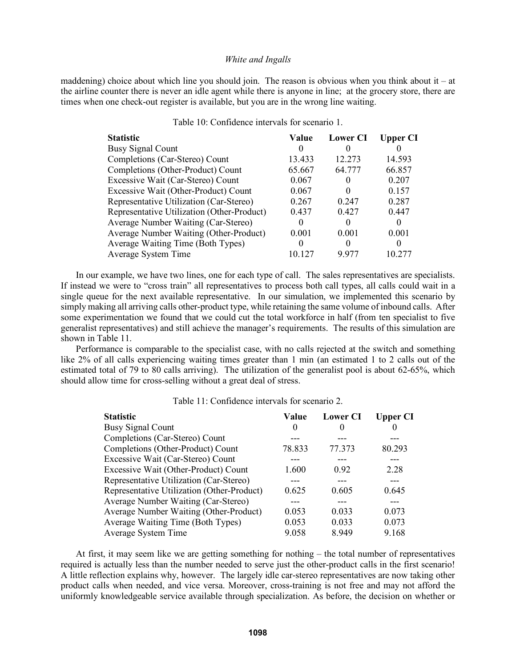maddening) choice about which line you should join. The reason is obvious when you think about it – at the airline counter there is never an idle agent while there is anyone in line; at the grocery store, there are times when one check-out register is available, but you are in the wrong line waiting.

### Table 10: Confidence intervals for scenario 1.

| <b>Statistic</b>                           | Value  | <b>Lower CI</b> | <b>Upper CI</b> |
|--------------------------------------------|--------|-----------------|-----------------|
| <b>Busy Signal Count</b>                   | 0      |                 |                 |
| Completions (Car-Stereo) Count             | 13.433 | 12.273          | 14.593          |
| Completions (Other-Product) Count          | 65.667 | 64.777          | 66.857          |
| Excessive Wait (Car-Stereo) Count          | 0.067  |                 | 0.207           |
| Excessive Wait (Other-Product) Count       | 0.067  |                 | 0.157           |
| Representative Utilization (Car-Stereo)    | 0.267  | 0.247           | 0.287           |
| Representative Utilization (Other-Product) | 0.437  | 0.427           | 0.447           |
| Average Number Waiting (Car-Stereo)        | 0      |                 | $\theta$        |
| Average Number Waiting (Other-Product)     | 0.001  | 0.001           | 0.001           |
| Average Waiting Time (Both Types)          |        |                 |                 |
| <b>Average System Time</b>                 | 10 127 | 9977            | 10.277          |

In our example, we have two lines, one for each type of call. The sales representatives are specialists. If instead we were to "cross train" all representatives to process both call types, all calls could wait in a single queue for the next available representative. In our simulation, we implemented this scenario by simply making all arriving calls other-product type, while retaining the same volume of inbound calls. After some experimentation we found that we could cut the total workforce in half (from ten specialist to five generalist representatives) and still achieve the manager's requirements. The results of this simulation are shown in Table 11.

Performance is comparable to the specialist case, with no calls rejected at the switch and something like 2% of all calls experiencing waiting times greater than 1 min (an estimated 1 to 2 calls out of the estimated total of 79 to 80 calls arriving). The utilization of the generalist pool is about 62-65%, which should allow time for cross-selling without a great deal of stress.

### Table 11: Confidence intervals for scenario 2.

| <b>Statistic</b>                           | Value    | <b>Lower CI</b> | <b>Upper CI</b> |
|--------------------------------------------|----------|-----------------|-----------------|
| <b>Busy Signal Count</b>                   | $\theta$ | 0               | O               |
| Completions (Car-Stereo) Count             |          |                 |                 |
| Completions (Other-Product) Count          | 78.833   | 77.373          | 80.293          |
| Excessive Wait (Car-Stereo) Count          |          |                 |                 |
| Excessive Wait (Other-Product) Count       | 1.600    | 0.92            | 2.28            |
| Representative Utilization (Car-Stereo)    |          |                 |                 |
| Representative Utilization (Other-Product) | 0.625    | 0.605           | 0.645           |
| Average Number Waiting (Car-Stereo)        |          |                 |                 |
| Average Number Waiting (Other-Product)     | 0.053    | 0.033           | 0.073           |
| Average Waiting Time (Both Types)          | 0.053    | 0.033           | 0.073           |
| Average System Time                        | 9.058    | 8949            | 9.168           |

At first, it may seem like we are getting something for nothing – the total number of representatives required is actually less than the number needed to serve just the other-product calls in the first scenario! A little reflection explains why, however. The largely idle car-stereo representatives are now taking other product calls when needed, and vice versa. Moreover, cross-training is not free and may not afford the uniformly knowledgeable service available through specialization. As before, the decision on whether or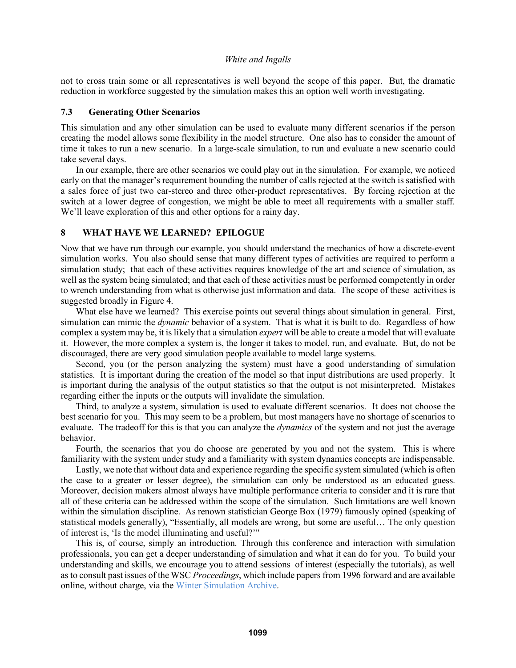not to cross train some or all representatives is well beyond the scope of this paper. But, the dramatic reduction in workforce suggested by the simulation makes this an option well worth investigating.

### **7.3 Generating Other Scenarios**

This simulation and any other simulation can be used to evaluate many different scenarios if the person creating the model allows some flexibility in the model structure. One also has to consider the amount of time it takes to run a new scenario. In a large-scale simulation, to run and evaluate a new scenario could take several days.

In our example, there are other scenarios we could play out in the simulation. For example, we noticed early on that the manager's requirement bounding the number of calls rejected at the switch is satisfied with a sales force of just two car-stereo and three other-product representatives. By forcing rejection at the switch at a lower degree of congestion, we might be able to meet all requirements with a smaller staff. We'll leave exploration of this and other options for a rainy day.

# **8 WHAT HAVE WE LEARNED? EPILOGUE**

Now that we have run through our example, you should understand the mechanics of how a discrete-event simulation works. You also should sense that many different types of activities are required to perform a simulation study; that each of these activities requires knowledge of the art and science of simulation, as well as the system being simulated; and that each of these activities must be performed competently in order to wrench understanding from what is otherwise just information and data. The scope of these activities is suggested broadly in Figure 4.

What else have we learned? This exercise points out several things about simulation in general. First, simulation can mimic the *dynamic* behavior of a system. That is what it is built to do. Regardless of how complex a system may be, it is likely that a simulation *expert* will be able to create a model that will evaluate it. However, the more complex a system is, the longer it takes to model, run, and evaluate. But, do not be discouraged, there are very good simulation people available to model large systems.

Second, you (or the person analyzing the system) must have a good understanding of simulation statistics. It is important during the creation of the model so that input distributions are used properly. It is important during the analysis of the output statistics so that the output is not misinterpreted. Mistakes regarding either the inputs or the outputs will invalidate the simulation.

Third, to analyze a system, simulation is used to evaluate different scenarios. It does not choose the best scenario for you. This may seem to be a problem, but most managers have no shortage of scenarios to evaluate. The tradeoff for this is that you can analyze the *dynamics* of the system and not just the average behavior.

Fourth, the scenarios that you do choose are generated by you and not the system. This is where familiarity with the system under study and a familiarity with system dynamics concepts are indispensable.

Lastly, we note that without data and experience regarding the specific system simulated (which is often the case to a greater or lesser degree), the simulation can only be understood as an educated guess. Moreover, decision makers almost always have multiple performance criteria to consider and it is rare that all of these criteria can be addressed within the scope of the simulation. Such limitations are well known within the simulation discipline. As renown statistician George Box (1979) famously opined (speaking of statistical models generally), "Essentially, all models are wrong, but some are useful… The only question of interest is, 'Is the model illuminating and useful?'"

This is, of course, simply an introduction. Through this conference and interaction with simulation professionals, you can get a deeper understanding of simulation and what it can do for you. To build your understanding and skills, we encourage you to attend sessions of interest (especially the tutorials), as well as to consult past issues of the WSC *Proceedings*, which include papers from 1996 forward and are available online, without charge, via the Winter Simulation Archive.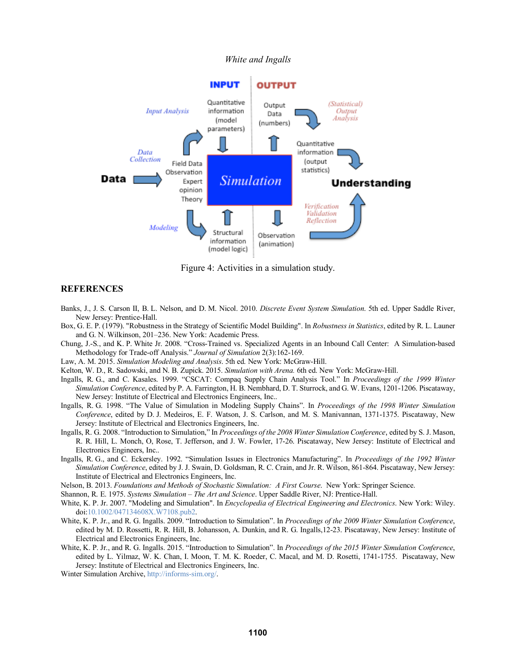

Figure 4: Activities in a simulation study.

#### **REFERENCES**

- Banks, J., J. S. Carson II, B. L. Nelson, and D. M. Nicol. 2010. *Discrete Event System Simulation*. 5th ed. Upper Saddle River, New Jersey: Prentice-Hall.
- Box, G. E. P. (1979). "Robustness in the Strategy of Scientific Model Building". In *Robustness in Statistics*, edited by R. L. Launer and G. N. Wilkinson, 201–236. New York: Academic Press.
- Chung, J.-S., and K. P. White Jr. 2008. "Cross-Trained vs. Specialized Agents in an Inbound Call Center: A Simulation-based Methodology for Trade-off Analysis." *Journal of Simulation* 2(3):162-169.
- Law, A. M. 2015. *Simulation Modeling and Analysis*. 5th ed. New York: McGraw-Hill.
- Kelton, W. D., R. Sadowski, and N. B. Zupick. 2015. *Simulation with Arena.* 6th ed. New York: McGraw-Hill.
- Ingalls, R. G., and C. Kasales. 1999. "CSCAT: Compaq Supply Chain Analysis Tool." In *Proceedings of the 1999 Winter Simulation Conference*, edited by P. A. Farrington, H. B. Nembhard, D. T. Sturrock, and G. W. Evans, 1201-1206. Piscataway, New Jersey: Institute of Electrical and Electronics Engineers, Inc..
- Ingalls, R. G. 1998. "The Value of Simulation in Modeling Supply Chains". In *Proceedings of the 1998 Winter Simulation Conference*, edited by D. J. Medeiros, E. F. Watson, J. S. Carlson, and M. S. Manivannan, 1371-1375. Piscataway, New Jersey: Institute of Electrical and Electronics Engineers, Inc.
- Ingalls, R. G. 2008. "Introduction to Simulation," In *Proceedings of the 2008 Winter Simulation Conference*, edited by S. J. Mason, R. R. Hill, L. Monch, O, Rose, T. Jefferson, and J. W. Fowler, 17-26. Piscataway, New Jersey: Institute of Electrical and Electronics Engineers, Inc..
- Ingalls, R. G., and C. Eckersley. 1992. "Simulation Issues in Electronics Manufacturing". In *Proceedings of the 1992 Winter Simulation Conference*, edited by J. J. Swain, D. Goldsman, R. C. Crain, and Jr. R. Wilson, 861-864. Piscataway, New Jersey: Institute of Electrical and Electronics Engineers, Inc.
- Nelson, B. 2013. *Foundations and Methods of Stochastic Simulation: A First Course*. New York: Springer Science.

Shannon, R. E. 1975. *Systems Simulation – The Art and Science*. Upper Saddle River, NJ: Prentice-Hall.

- White, K. P. Jr. 2007. "Modeling and Simulation". In *Encyclopedia of Electrical Engineering and Electronics*. New York: Wiley. doi:10.1002/047134608X.W7108.pub2.
- White, K. P. Jr., and R. G. Ingalls. 2009. "Introduction to Simulation". In *Proceedings of the 2009 Winter Simulation Conference*, edited by M. D. Rossetti, R. R. Hill, B. Johansson, A. Dunkin, and R. G. Ingalls,12-23. Piscataway, New Jersey: Institute of Electrical and Electronics Engineers, Inc.
- White, K. P. Jr., and R. G. Ingalls. 2015. "Introduction to Simulation". In *Proceedings of the 2015 Winter Simulation Conference*, edited by L. Yilmaz, W. K. Chan, I. Moon, T. M. K. Roeder, C. Macal, and M. D. Rosetti, 1741-1755. Piscataway, New Jersey: Institute of Electrical and Electronics Engineers, Inc.

Winter Simulation Archive, http://informs-sim.org/.